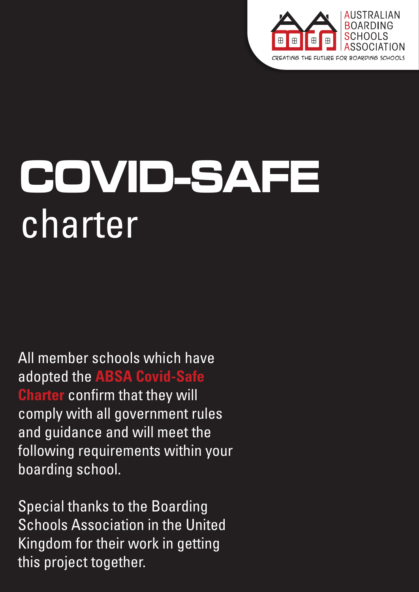

# **COVID-SAFE** charter

All member schools which have adopted the **ABSA Covid-Safe Charter** confirm that they will comply with all government rules and guidance and will meet the following requirements within your boarding school.

Special thanks to the Boarding Schools Association in the United Kingdom for their work in getting this project together.